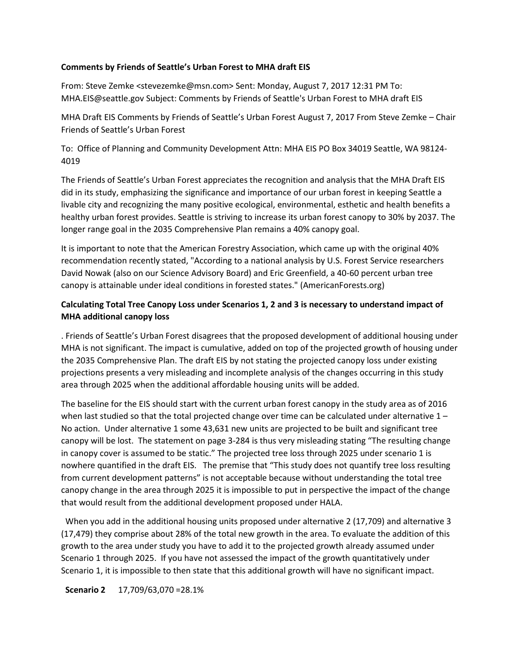## **Comments by Friends of Seattle's Urban Forest to MHA draft EIS**

From: Steve Zemke <stevezemke@msn.com> Sent: Monday, August 7, 2017 12:31 PM To: MHA.EIS@seattle.gov Subject: Comments by Friends of Seattle's Urban Forest to MHA draft EIS

MHA Draft EIS Comments by Friends of Seattle's Urban Forest August 7, 2017 From Steve Zemke – Chair Friends of Seattle's Urban Forest

To: Office of Planning and Community Development Attn: MHA EIS PO Box 34019 Seattle, WA 98124- 4019

The Friends of Seattle's Urban Forest appreciates the recognition and analysis that the MHA Draft EIS did in its study, emphasizing the significance and importance of our urban forest in keeping Seattle a livable city and recognizing the many positive ecological, environmental, esthetic and health benefits a healthy urban forest provides. Seattle is striving to increase its urban forest canopy to 30% by 2037. The longer range goal in the 2035 Comprehensive Plan remains a 40% canopy goal.

It is important to note that the American Forestry Association, which came up with the original 40% recommendation recently stated, "According to a national analysis by U.S. Forest Service researchers David Nowak (also on our Science Advisory Board) and Eric Greenfield, a 40-60 percent urban tree canopy is attainable under ideal conditions in forested states." (AmericanForests.org)

# **Calculating Total Tree Canopy Loss under Scenarios 1, 2 and 3 is necessary to understand impact of MHA additional canopy loss**

. Friends of Seattle's Urban Forest disagrees that the proposed development of additional housing under MHA is not significant. The impact is cumulative, added on top of the projected growth of housing under the 2035 Comprehensive Plan. The draft EIS by not stating the projected canopy loss under existing projections presents a very misleading and incomplete analysis of the changes occurring in this study area through 2025 when the additional affordable housing units will be added.

The baseline for the EIS should start with the current urban forest canopy in the study area as of 2016 when last studied so that the total projected change over time can be calculated under alternative  $1 -$ No action. Under alternative 1 some 43,631 new units are projected to be built and significant tree canopy will be lost. The statement on page 3-284 is thus very misleading stating "The resulting change in canopy cover is assumed to be static." The projected tree loss through 2025 under scenario 1 is nowhere quantified in the draft EIS. The premise that "This study does not quantify tree loss resulting from current development patterns" is not acceptable because without understanding the total tree canopy change in the area through 2025 it is impossible to put in perspective the impact of the change that would result from the additional development proposed under HALA.

 When you add in the additional housing units proposed under alternative 2 (17,709) and alternative 3 (17,479) they comprise about 28% of the total new growth in the area. To evaluate the addition of this growth to the area under study you have to add it to the projected growth already assumed under Scenario 1 through 2025. If you have not assessed the impact of the growth quantitatively under Scenario 1, it is impossible to then state that this additional growth will have no significant impact.

 **Scenario 2** 17,709/63,070 =28.1%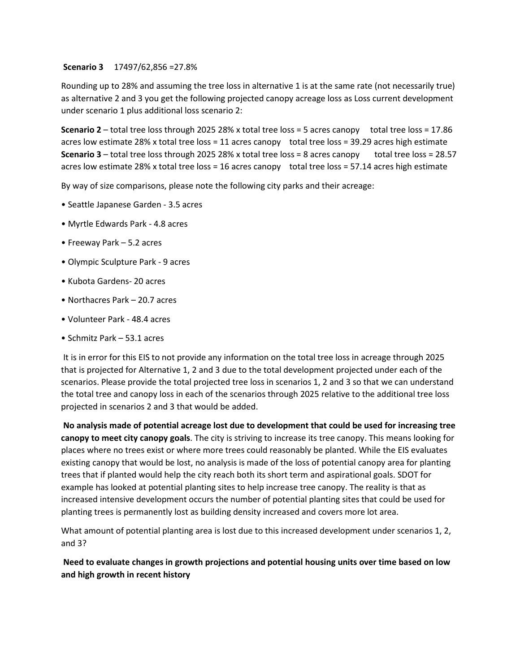**Scenario 3** 17497/62,856 =27.8%

Rounding up to 28% and assuming the tree loss in alternative 1 is at the same rate (not necessarily true) as alternative 2 and 3 you get the following projected canopy acreage loss as Loss current development under scenario 1 plus additional loss scenario 2:

**Scenario 2** – total tree loss through 2025 28% x total tree loss = 5 acres canopy total tree loss = 17.86 acres low estimate 28% x total tree loss = 11 acres canopy total tree loss = 39.29 acres high estimate **Scenario 3** – total tree loss through 2025 28% x total tree loss = 8 acres canopy total tree loss = 28.57 acres low estimate 28% x total tree loss = 16 acres canopy total tree loss = 57.14 acres high estimate

By way of size comparisons, please note the following city parks and their acreage:

- Seattle Japanese Garden 3.5 acres
- Myrtle Edwards Park 4.8 acres
- Freeway Park 5.2 acres
- Olympic Sculpture Park 9 acres
- Kubota Gardens- 20 acres
- Northacres Park 20.7 acres
- Volunteer Park 48.4 acres
- Schmitz Park 53.1 acres

It is in error for this EIS to not provide any information on the total tree loss in acreage through 2025 that is projected for Alternative 1, 2 and 3 due to the total development projected under each of the scenarios. Please provide the total projected tree loss in scenarios 1, 2 and 3 so that we can understand the total tree and canopy loss in each of the scenarios through 2025 relative to the additional tree loss projected in scenarios 2 and 3 that would be added.

**No analysis made of potential acreage lost due to development that could be used for increasing tree canopy to meet city canopy goals**. The city is striving to increase its tree canopy. This means looking for places where no trees exist or where more trees could reasonably be planted. While the EIS evaluates existing canopy that would be lost, no analysis is made of the loss of potential canopy area for planting trees that if planted would help the city reach both its short term and aspirational goals. SDOT for example has looked at potential planting sites to help increase tree canopy. The reality is that as increased intensive development occurs the number of potential planting sites that could be used for planting trees is permanently lost as building density increased and covers more lot area.

What amount of potential planting area is lost due to this increased development under scenarios 1, 2, and 3?

**Need to evaluate changes in growth projections and potential housing units over time based on low and high growth in recent history**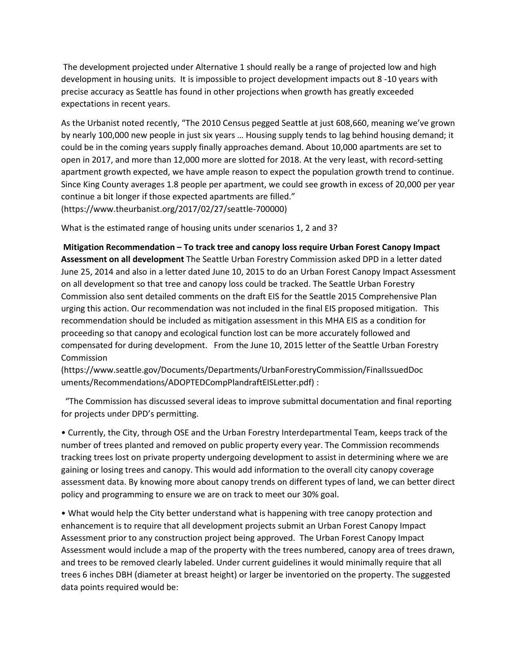The development projected under Alternative 1 should really be a range of projected low and high development in housing units. It is impossible to project development impacts out 8 -10 years with precise accuracy as Seattle has found in other projections when growth has greatly exceeded expectations in recent years.

As the Urbanist noted recently, "The 2010 Census pegged Seattle at just 608,660, meaning we've grown by nearly 100,000 new people in just six years … Housing supply tends to lag behind housing demand; it could be in the coming years supply finally approaches demand. About 10,000 apartments are set to open in 2017, and more than 12,000 more are slotted for 2018. At the very least, with record-setting apartment growth expected, we have ample reason to expect the population growth trend to continue. Since King County averages 1.8 people per apartment, we could see growth in excess of 20,000 per year continue a bit longer if those expected apartments are filled." (https://www.theurbanist.org/2017/02/27/seattle-700000)

What is the estimated range of housing units under scenarios 1, 2 and 3?

**Mitigation Recommendation – To track tree and canopy loss require Urban Forest Canopy Impact Assessment on all development** The Seattle Urban Forestry Commission asked DPD in a letter dated June 25, 2014 and also in a letter dated June 10, 2015 to do an Urban Forest Canopy Impact Assessment on all development so that tree and canopy loss could be tracked. The Seattle Urban Forestry Commission also sent detailed comments on the draft EIS for the Seattle 2015 Comprehensive Plan urging this action. Our recommendation was not included in the final EIS proposed mitigation. This recommendation should be included as mitigation assessment in this MHA EIS as a condition for proceeding so that canopy and ecological function lost can be more accurately followed and compensated for during development. From the June 10, 2015 letter of the Seattle Urban Forestry Commission

(https://www.seattle.gov/Documents/Departments/UrbanForestryCommission/FinalIssuedDoc uments/Recommendations/ADOPTEDCompPlandraftEISLetter.pdf) :

 "The Commission has discussed several ideas to improve submittal documentation and final reporting for projects under DPD's permitting.

• Currently, the City, through OSE and the Urban Forestry Interdepartmental Team, keeps track of the number of trees planted and removed on public property every year. The Commission recommends tracking trees lost on private property undergoing development to assist in determining where we are gaining or losing trees and canopy. This would add information to the overall city canopy coverage assessment data. By knowing more about canopy trends on different types of land, we can better direct policy and programming to ensure we are on track to meet our 30% goal.

• What would help the City better understand what is happening with tree canopy protection and enhancement is to require that all development projects submit an Urban Forest Canopy Impact Assessment prior to any construction project being approved. The Urban Forest Canopy Impact Assessment would include a map of the property with the trees numbered, canopy area of trees drawn, and trees to be removed clearly labeled. Under current guidelines it would minimally require that all trees 6 inches DBH (diameter at breast height) or larger be inventoried on the property. The suggested data points required would be: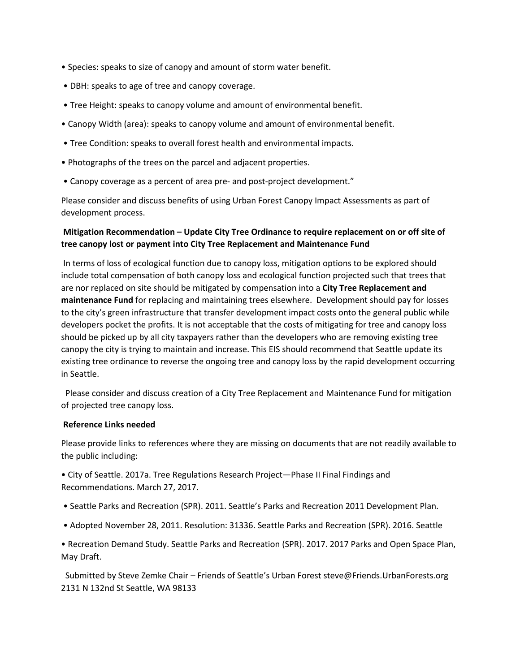- Species: speaks to size of canopy and amount of storm water benefit.
- DBH: speaks to age of tree and canopy coverage.
- Tree Height: speaks to canopy volume and amount of environmental benefit.
- Canopy Width (area): speaks to canopy volume and amount of environmental benefit.
- Tree Condition: speaks to overall forest health and environmental impacts.
- Photographs of the trees on the parcel and adjacent properties.
- Canopy coverage as a percent of area pre- and post-project development."

Please consider and discuss benefits of using Urban Forest Canopy Impact Assessments as part of development process.

## **Mitigation Recommendation – Update City Tree Ordinance to require replacement on or off site of tree canopy lost or payment into City Tree Replacement and Maintenance Fund**

In terms of loss of ecological function due to canopy loss, mitigation options to be explored should include total compensation of both canopy loss and ecological function projected such that trees that are nor replaced on site should be mitigated by compensation into a **City Tree Replacement and maintenance Fund** for replacing and maintaining trees elsewhere. Development should pay for losses to the city's green infrastructure that transfer development impact costs onto the general public while developers pocket the profits. It is not acceptable that the costs of mitigating for tree and canopy loss should be picked up by all city taxpayers rather than the developers who are removing existing tree canopy the city is trying to maintain and increase. This EIS should recommend that Seattle update its existing tree ordinance to reverse the ongoing tree and canopy loss by the rapid development occurring in Seattle.

 Please consider and discuss creation of a City Tree Replacement and Maintenance Fund for mitigation of projected tree canopy loss.

#### **Reference Links needed**

Please provide links to references where they are missing on documents that are not readily available to the public including:

• City of Seattle. 2017a. Tree Regulations Research Project—Phase II Final Findings and Recommendations. March 27, 2017.

- Seattle Parks and Recreation (SPR). 2011. Seattle's Parks and Recreation 2011 Development Plan.
- Adopted November 28, 2011. Resolution: 31336. Seattle Parks and Recreation (SPR). 2016. Seattle

• Recreation Demand Study. Seattle Parks and Recreation (SPR). 2017. 2017 Parks and Open Space Plan, May Draft.

 Submitted by Steve Zemke Chair – Friends of Seattle's Urban Forest steve@Friends.UrbanForests.org 2131 N 132nd St Seattle, WA 98133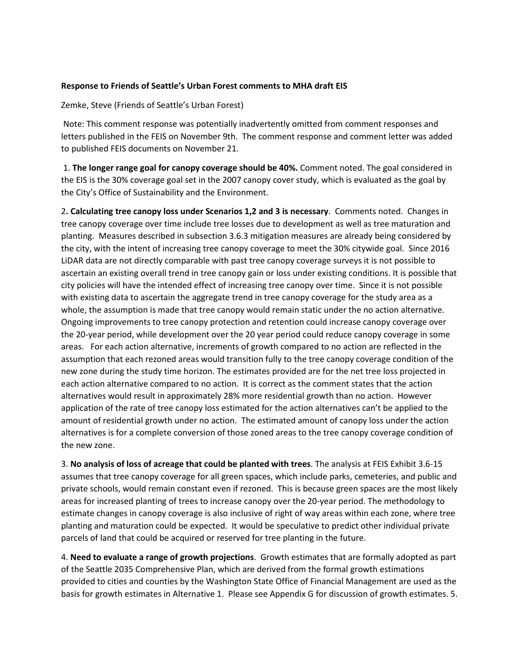### **Response to Friends of Seattle's Urban Forest comments to MHA draft EIS**

Zemke, Steve (Friends of Seattle's Urban Forest)

Note: This comment response was potentially inadvertently omitted from comment responses and letters published in the FEIS on November 9th. The comment response and comment letter was added to published FEIS documents on November 21.

1. **The longer range goal for canopy coverage should be 40%.** Comment noted. The goal considered in the EIS is the 30% coverage goal set in the 2007 canopy cover study, which is evaluated as the goal by the City's Office of Sustainability and the Environment.

2**. Calculating tree canopy loss under Scenarios 1,2 and 3 is necessary**. Comments noted. Changes in tree canopy coverage over time include tree losses due to development as well as tree maturation and planting. Measures described in subsection 3.6.3 mitigation measures are already being considered by the city, with the intent of increasing tree canopy coverage to meet the 30% citywide goal. Since 2016 LiDAR data are not directly comparable with past tree canopy coverage surveys it is not possible to ascertain an existing overall trend in tree canopy gain or loss under existing conditions. It is possible that city policies will have the intended effect of increasing tree canopy over time. Since it is not possible with existing data to ascertain the aggregate trend in tree canopy coverage for the study area as a whole, the assumption is made that tree canopy would remain static under the no action alternative. Ongoing improvements to tree canopy protection and retention could increase canopy coverage over the 20-year period, while development over the 20 year period could reduce canopy coverage in some areas. For each action alternative, increments of growth compared to no action are reflected in the assumption that each rezoned areas would transition fully to the tree canopy coverage condition of the new zone during the study time horizon. The estimates provided are for the net tree loss projected in each action alternative compared to no action. It is correct as the comment states that the action alternatives would result in approximately 28% more residential growth than no action. However application of the rate of tree canopy loss estimated for the action alternatives can't be applied to the amount of residential growth under no action. The estimated amount of canopy loss under the action alternatives is for a complete conversion of those zoned areas to the tree canopy coverage condition of the new zone.

3. **No analysis of loss of acreage that could be planted with trees**. The analysis at FEIS Exhibit 3.6-15 assumes that tree canopy coverage for all green spaces, which include parks, cemeteries, and public and private schools, would remain constant even if rezoned. This is because green spaces are the most likely areas for increased planting of trees to increase canopy over the 20-year period. The methodology to estimate changes in canopy coverage is also inclusive of right of way areas within each zone, where tree planting and maturation could be expected. It would be speculative to predict other individual private parcels of land that could be acquired or reserved for tree planting in the future.

4. **Need to evaluate a range of growth projections**. Growth estimates that are formally adopted as part of the Seattle 2035 Comprehensive Plan, which are derived from the formal growth estimations provided to cities and counties by the Washington State Office of Financial Management are used as the basis for growth estimates in Alternative 1. Please see Appendix G for discussion of growth estimates. 5.